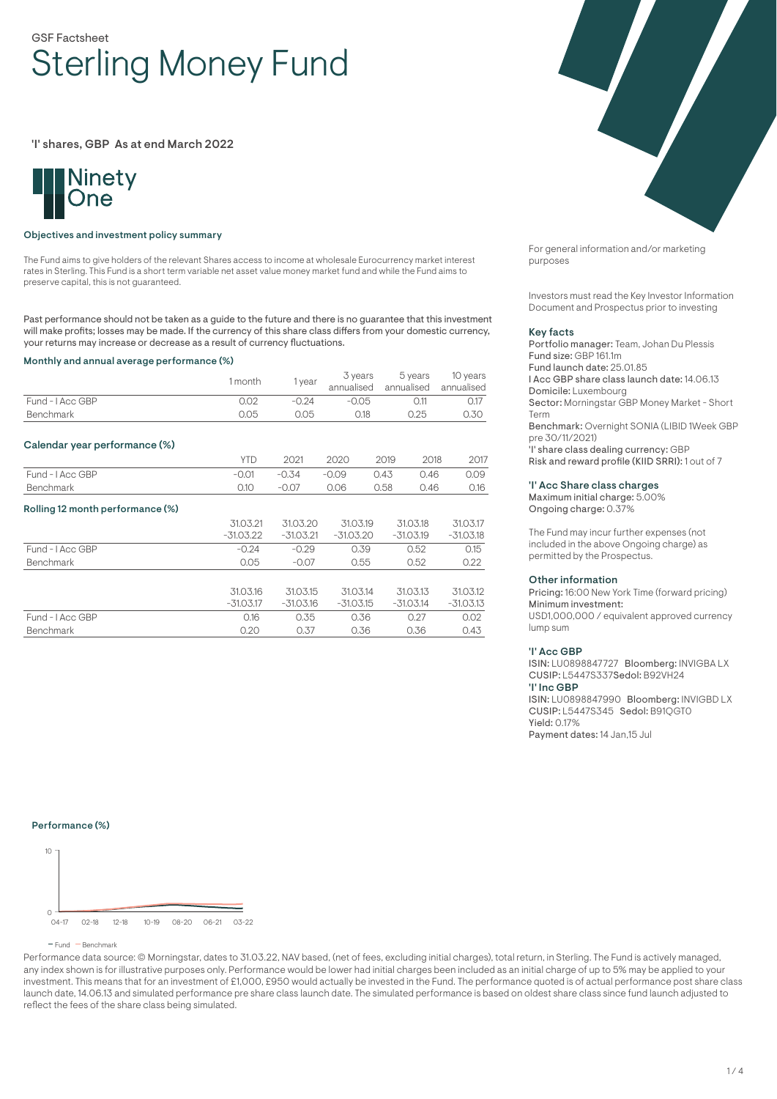# GSF Factsheet Sterling Money Fund

'I' shares, GBP As at end March 2022



## Objectives and investment policy summary

The Fund aims to give holders of the relevant Shares access to income at wholesale Eurocurrency market interest rates in Sterling. This Fund is a short term variable net asset value money market fund and while the Fund aims to preserve capital, this is not guaranteed.

Past performance should not be taken as a guide to the future and there is no guarantee that this investment will make profits; losses may be made. If the currency of this share class differs from your domestic currency, your returns may increase or decrease as a result of currency fluctuations.

#### Monthly and annual average performance (%)

|                                  | 1 month     | 1 year      | 3 years<br>annualised |      | 5 years<br>annualised | 10 years<br>annualised |
|----------------------------------|-------------|-------------|-----------------------|------|-----------------------|------------------------|
| Fund - I Acc GBP                 | 0.02        | $-0.24$     | $-0.05$<br>0.11       |      |                       | 0.17                   |
| <b>Benchmark</b>                 | 0.05        | 0.05        | 0.18                  |      | 0.25                  | 0.30                   |
| Calendar year performance (%)    |             |             |                       |      |                       |                        |
|                                  | <b>YTD</b>  | 2021        | 2020                  | 2019 | 2018                  | 2017                   |
| Fund - I Acc GBP                 | $-0.01$     | $-0.34$     | $-0.09$               | 0.43 | 0.46                  | 0.09                   |
| <b>Benchmark</b>                 | 0.10        | $-0.07$     | 0.06                  | 0.58 | 0.46                  | 0.16                   |
| Rolling 12 month performance (%) |             |             |                       |      |                       |                        |
|                                  | 31.03.21    | 31.03.20    | 31.03.19              |      | 31.03.18              | 31.03.17               |
|                                  | $-31.03.22$ | $-31.03.21$ | $-31.03.20$           |      | $-31.03.19$           | $-31.03.18$            |
| Fund - I Acc GBP                 | $-0.24$     | $-0.29$     | 0.39                  |      | 0.52                  | 0.15                   |
| Benchmark                        | 0.05        | $-0.07$     | 0.55                  |      | 0.52                  | 0.22                   |
|                                  |             |             |                       |      |                       |                        |
|                                  | 31.03.16    | 31.03.15    | 31.03.14              |      | 31.03.13              | 31.03.12               |
|                                  | $-31.03.17$ | $-31.03.16$ | $-31.03.15$           |      | $-31.03.14$           | $-31.03.13$            |
| Fund - I Acc GBP                 | 0.16        | 0.35        | 0.36                  |      | 0.27                  | 0.02                   |
| <b>Benchmark</b>                 | 0.20        | 0.37        | 0.36                  |      | 0.36                  | 0.43                   |



For general information and/or marketing purposes

Investors must read the Key Investor Information Document and Prospectus prior to investing

#### Key facts

Portfolio manager: Team, Johan Du Plessis Fund size: GBP 161.1m Fund launch date: 25.01.85 I Acc GBP share class launch date: 14.06.13 Domicile: Luxembourg Sector: Morningstar GBP Money Market - Short Term Benchmark: Overnight SONIA (LIBID 1Week GBP pre 30/11/2021) 'I' share class dealing currency: GBP Risk and reward profile (KIID SRRI): 1 out of 7

#### 'I' Acc Share class charges

Maximum initial charge: 5.00% Ongoing charge: 0.37%

The Fund may incur further expenses (not included in the above Ongoing charge) as permitted by the Prospectus.

#### Other information

Pricing: 16:00 New York Time (forward pricing) Minimum investment: USD1,000,000 / equivalent approved currency lump sum

### 'I' Acc GBP

ISIN: LU0898847727 Bloomberg: INVIGBA LX CUSIP: L5447S337Sedol: B92VH24 'I' Inc GBP ISIN: LU0898847990 Bloomberg: INVIGBD LX

CUSIP: L5447S345 Sedol: B91QGT0 Yield: 0.17% Payment dates: 14 Jan,15 Jul

### Performance (%)



Performance data source: © Morningstar, dates to 31.03.22, NAV based, (net of fees, excluding initial charges), total return, in Sterling. The Fund is actively managed, any index shown is for illustrative purposes only. Performance would be lower had initial charges been included as an initial charge of up to 5% may be applied to your investment. This means that for an investment of £1,000, £950 would actually be invested in the Fund. The performance quoted is of actual performance post share class launch date, 14.06.13 and simulated performance pre share class launch date. The simulated performance is based on oldest share class since fund launch adjusted to reflect the fees of the share class being simulated.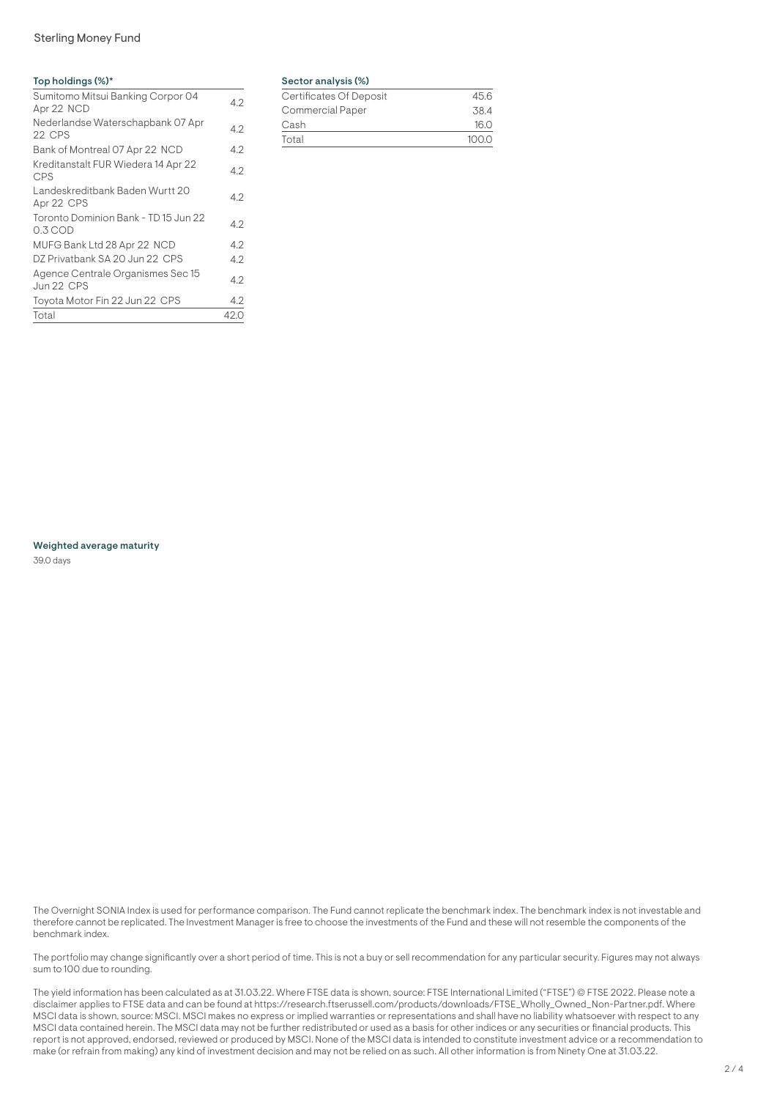# Sterling Money Fund

# Top holdings (%)\*

| Sumitomo Mitsui Banking Corpor 04<br>Apr 22 NCD   | 4.2  |
|---------------------------------------------------|------|
| Nederlandse Waterschapbank 07 Apr<br>22 CPS       | 4.2  |
| Bank of Montreal 07 Apr 22 NCD                    | 4.2  |
| Kreditanstalt FUR Wiedera 14 Apr 22<br><b>CPS</b> | 4.2  |
| Landeskreditbank Baden Wurtt 20<br>Apr 22 CPS     | 4.2  |
| Toronto Dominion Bank - TD 15 Jun 22<br>$0.3$ COD | 4.2  |
| MUFG Bank Ltd 28 Apr 22 NCD                       | 4.2  |
| DZ Privatbank SA 20 Jun 22 CPS                    | 4.2  |
| Agence Centrale Organismes Sec 15<br>Jun 22 CPS   | 4.2  |
| Toyota Motor Fin 22 Jun 22 CPS                    | 4.2  |
| Total                                             | 42.0 |

# Sector analysis (%)

| Certificates Of Deposit | 45.6  |
|-------------------------|-------|
| Commercial Paper        | 38.4  |
| Cash                    | 16.0  |
| Total                   | 100.0 |
|                         |       |

Weighted average maturity

39.0 days

The Overnight SONIA Index is used for performance comparison. The Fund cannot replicate the benchmark index. The benchmark index is not investable and therefore cannot be replicated. The Investment Manager is free to choose the investments of the Fund and these will not resemble the components of the benchmark index.

The portfolio may change significantly over a short period of time. This is not a buy or sell recommendation for any particular security. Figures may not always sum to 100 due to rounding.

The yield information has been calculated as at 31.03.22. Where FTSE data is shown, source: FTSE International Limited ("FTSE") © FTSE 2022. Please note a disclaimer applies to FTSE data and can be found at https://research.ftserussell.com/products/downloads/FTSE\_Wholly\_Owned\_Non-Partner.pdf. Where MSCI data is shown, source: MSCI. MSCI makes no express or implied warranties or representations and shall have no liability whatsoever with respect to any MSCI data contained herein. The MSCI data may not be further redistributed or used as a basis for other indices or any securities or financial products. This report is not approved, endorsed, reviewed or produced by MSCI. None of the MSCI data is intended to constitute investment advice or a recommendation to make (or refrain from making) any kind of investment decision and may not be relied on as such. All other information is from Ninety One at 31.03.22.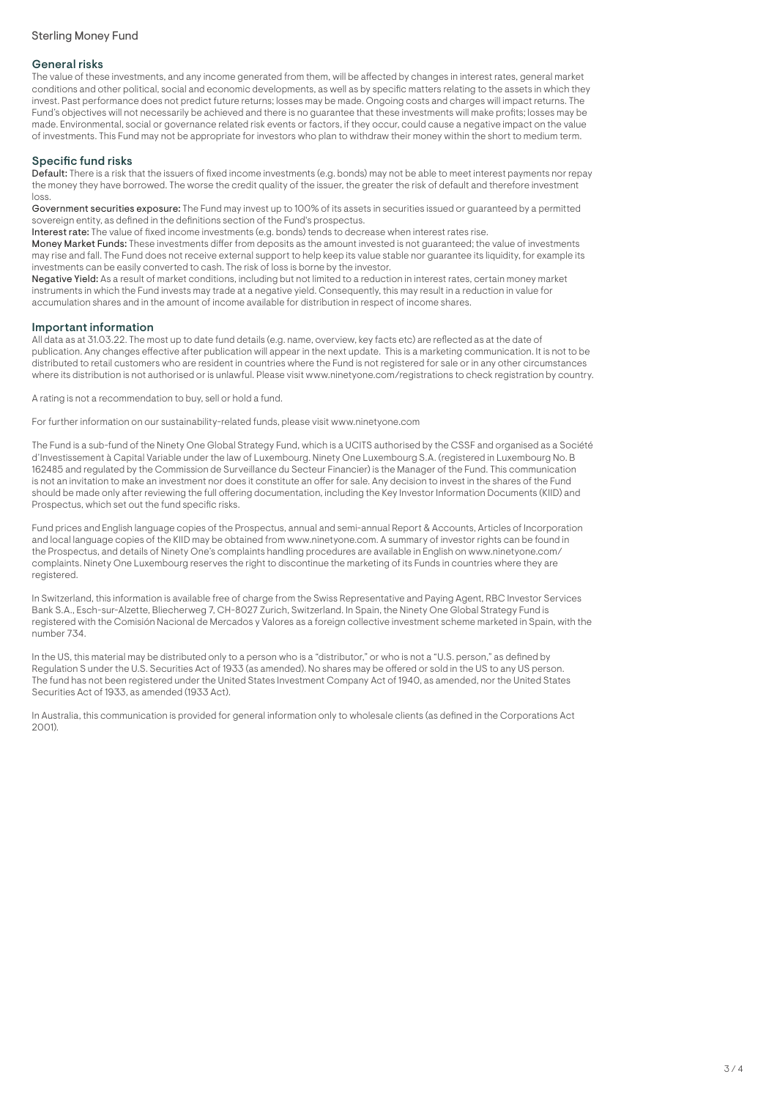## General risks

The value of these investments, and any income generated from them, will be affected by changes in interest rates, general market conditions and other political, social and economic developments, as well as by specific matters relating to the assets in which they invest. Past performance does not predict future returns; losses may be made. Ongoing costs and charges will impact returns. The Fund's objectives will not necessarily be achieved and there is no guarantee that these investments will make profits; losses may be made. Environmental, social or governance related risk events or factors, if they occur, could cause a negative impact on the value of investments. This Fund may not be appropriate for investors who plan to withdraw their money within the short to medium term.

# Specific fund risks

Default: There is a risk that the issuers of fixed income investments (e.g. bonds) may not be able to meet interest payments nor repay the money they have borrowed. The worse the credit quality of the issuer, the greater the risk of default and therefore investment loss.

Government securities exposure: The Fund may invest up to 100% of its assets in securities issued or guaranteed by a permitted sovereign entity, as defined in the definitions section of the Fund's prospectus.

Interest rate: The value of fixed income investments (e.g. bonds) tends to decrease when interest rates rise.

Money Market Funds: These investments differ from deposits as the amount invested is not guaranteed; the value of investments may rise and fall. The Fund does not receive external support to help keep its value stable nor guarantee its liquidity, for example its investments can be easily converted to cash. The risk of loss is borne by the investor.

Negative Yield: As a result of market conditions, including but not limited to a reduction in interest rates, certain money market instruments in which the Fund invests may trade at a negative yield. Consequently, this may result in a reduction in value for accumulation shares and in the amount of income available for distribution in respect of income shares.

## Important information

All data as at 31.03.22. The most up to date fund details (e.g. name, overview, key facts etc) are reflected as at the date of publication. Any changes effective after publication will appear in the next update. This is a marketing communication. It is not to be distributed to retail customers who are resident in countries where the Fund is not registered for sale or in any other circumstances where its distribution is not authorised or is unlawful. Please visit www.ninetyone.com/registrations to check registration by country.

A rating is not a recommendation to buy, sell or hold a fund.

For further information on our sustainability-related funds, please visit www.ninetyone.com

The Fund is a sub-fund of the Ninety One Global Strategy Fund, which is a UCITS authorised by the CSSF and organised as a Société d'Investissement à Capital Variable under the law of Luxembourg. Ninety One Luxembourg S.A. (registered in Luxembourg No. B 162485 and regulated by the Commission de Surveillance du Secteur Financier) is the Manager of the Fund. This communication is not an invitation to make an investment nor does it constitute an offer for sale. Any decision to invest in the shares of the Fund should be made only after reviewing the full offering documentation, including the Key Investor Information Documents (KIID) and Prospectus, which set out the fund specific risks.

Fund prices and English language copies of the Prospectus, annual and semi-annual Report & Accounts, Articles of Incorporation and local language copies of the KIID may be obtained from www.ninetyone.com. A summary of investor rights can be found in the Prospectus, and details of Ninety One's complaints handling procedures are available in English on www.ninetyone.com/ complaints. Ninety One Luxembourg reserves the right to discontinue the marketing of its Funds in countries where they are registered.

In Switzerland, this information is available free of charge from the Swiss Representative and Paying Agent, RBC Investor Services Bank S.A., Esch-sur-Alzette, Bliecherweg 7, CH-8027 Zurich, Switzerland. In Spain, the Ninety One Global Strategy Fund is registered with the Comisión Nacional de Mercados y Valores as a foreign collective investment scheme marketed in Spain, with the number 734.

In the US, this material may be distributed only to a person who is a "distributor," or who is not a "U.S. person," as defined by Regulation S under the U.S. Securities Act of 1933 (as amended). No shares may be offered or sold in the US to any US person. The fund has not been registered under the United States Investment Company Act of 1940, as amended, nor the United States Securities Act of 1933, as amended (1933 Act).

In Australia, this communication is provided for general information only to wholesale clients (as defined in the Corporations Act  $2001$